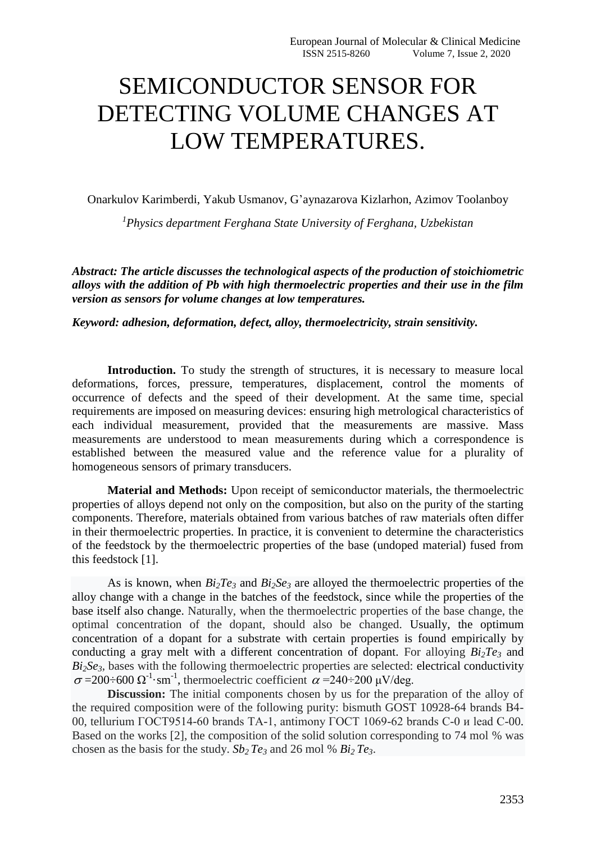## SEMICONDUCTOR SENSOR FOR DETECTING VOLUME CHANGES AT LOW TEMPERATURES.

Onarkulov Karimberdi, Yakub Usmanov, G'aynazarova Kizlarhon, Azimov Toolanboy

*1 Physics department Ferghana State University of Ferghana, Uzbekistan*

*Abstract: The article discusses the technological aspects of the production of stoichiometric alloys with the addition of Pb with high thermoelectric properties and their use in the film version as sensors for volume changes at low temperatures.*

*Keyword: adhesion, deformation, defect, alloy, thermoelectricity, strain sensitivity.*

Introduction. To study the strength of structures, it is necessary to measure local deformations, forces, pressure, temperatures, displacement, control the moments of occurrence of defects and the speed of their development. At the same time, special requirements are imposed on measuring devices: ensuring high metrological characteristics of each individual measurement, provided that the measurements are massive. Mass measurements are understood to mean measurements during which a correspondence is established between the measured value and the reference value for a plurality of homogeneous sensors of primary transducers.

**Material and Methods:** Upon receipt of semiconductor materials, the thermoelectric properties of alloys depend not only on the composition, but also on the purity of the starting components. Therefore, materials obtained from various batches of raw materials often differ in their thermoelectric properties. In practice, it is convenient to determine the characteristics of the feedstock by the thermoelectric properties of the base (undoped material) fused from this feedstock [1].

As is known, when  $Bi_2Te_3$  and  $Bi_2Se_3$  are alloyed the thermoelectric properties of the alloy change with a change in the batches of the feedstock, since while the properties of the base itself also change. Naturally, when the thermoelectric properties of the base change, the optimal concentration of the dopant, should also be changed. Usually, the optimum concentration of a dopant for a substrate with certain properties is found empirically by conducting a gray melt with a different concentration of dopant. For alloying *Bi2Te<sup>3</sup>* and  $Bi<sub>2</sub>Se<sub>3</sub>$ , bases with the following thermoelectric properties are selected: electrical conductivity  $\sigma = 200 \div 600 \Omega^{-1}$ ·sm<sup>-1</sup>, thermoelectric coefficient  $\alpha = 240 \div 200 \mu V/deg$ .

**Discussion:** The initial components chosen by us for the preparation of the alloy of the required composition were of the following purity: bismuth GOST 10928-64 brands В4- 00, tellurium ГОСТ9514-60 brands ТА-1, antimony ГОСТ 1069-62 brands С-0 и lead С-00. Based on the works [2], the composition of the solid solution corresponding to 74 mol % was chosen as the basis for the study.  $Sb_2Te_3$  and 26 mol %  $Bi_2Te_3$ .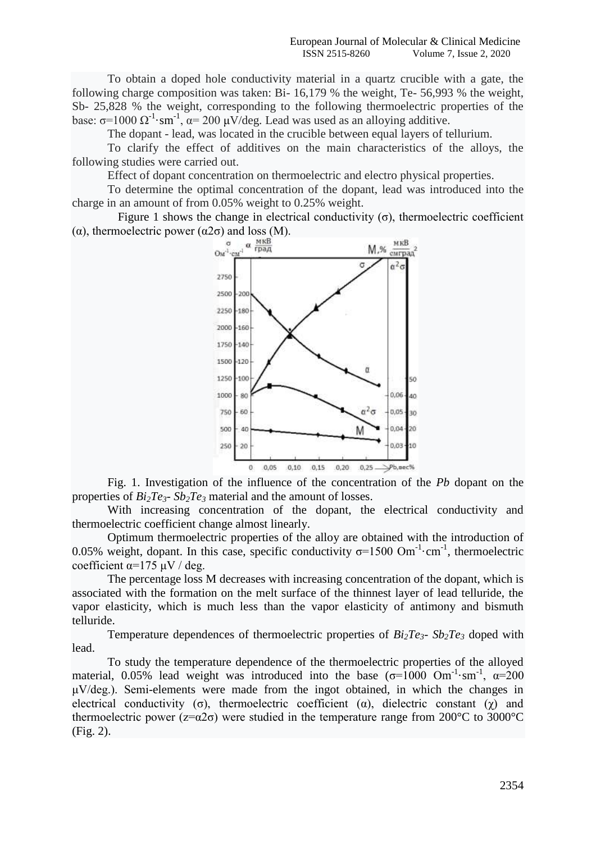To obtain a doped hole conductivity material in a quartz crucible with a gate, the following charge composition was taken: Bi- 16,179 % the weight, Te- 56,993 % the weight, Sb- 25,828 % the weight, corresponding to the following thermoelectric properties of the base:  $\sigma$ =1000  $\Omega^{-1}$ ·sm<sup>-1</sup>,  $\alpha$ = 200  $\mu$ V/deg. Lead was used as an alloying additive.

The dopant - lead, was located in the crucible between equal layers of tellurium.

To clarify the effect of additives on the main characteristics of the alloys, the following studies were carried out.

Effect of dopant concentration on thermoelectric and electro physical properties.

To determine the optimal concentration of the dopant, lead was introduced into the charge in an amount of from 0.05% weight to 0.25% weight.

Figure 1 shows the change in electrical conductivity  $(\sigma)$ , thermoelectric coefficient (α), thermoelectric power ( $\alpha$ 2 $\sigma$ ) and loss (M).



Fig. 1. Investigation of the influence of the concentration of the *Pb* dopant on the properties of  $Bi_2Te_3$ -  $Sb_2Te_3$  material and the amount of losses.

With increasing concentration of the dopant, the electrical conductivity and thermoelectric coefficient change almost linearly.

Optimum thermoelectric properties of the alloy are obtained with the introduction of 0.05% weight, dopant. In this case, specific conductivity  $\sigma$ =1500 Om<sup>-1</sup>·cm<sup>-1</sup>, thermoelectric coefficient  $\alpha$ =175 μV / deg.

The percentage loss M decreases with increasing concentration of the dopant, which is associated with the formation on the melt surface of the thinnest layer of lead telluride, the vapor elasticity, which is much less than the vapor elasticity of antimony and bismuth telluride.

Temperature dependences of thermoelectric properties of  $Bi_2Te_3$ -  $Sb_2Te_3$  doped with lead.

To study the temperature dependence of the thermoelectric properties of the alloyed material, 0.05% lead weight was introduced into the base  $(\sigma=1000 \text{ Om}^{-1} \cdot \text{sm}^{-1}, \ \alpha=200$ μV/deg.). Semi-elements were made from the ingot obtained, in which the changes in electrical conductivity (σ), thermoelectric coefficient ( $\alpha$ ), dielectric constant ( $\gamma$ ) and thermoelectric power ( $z = \alpha 2\sigma$ ) were studied in the temperature range from 200°C to 3000°C (Fig. 2).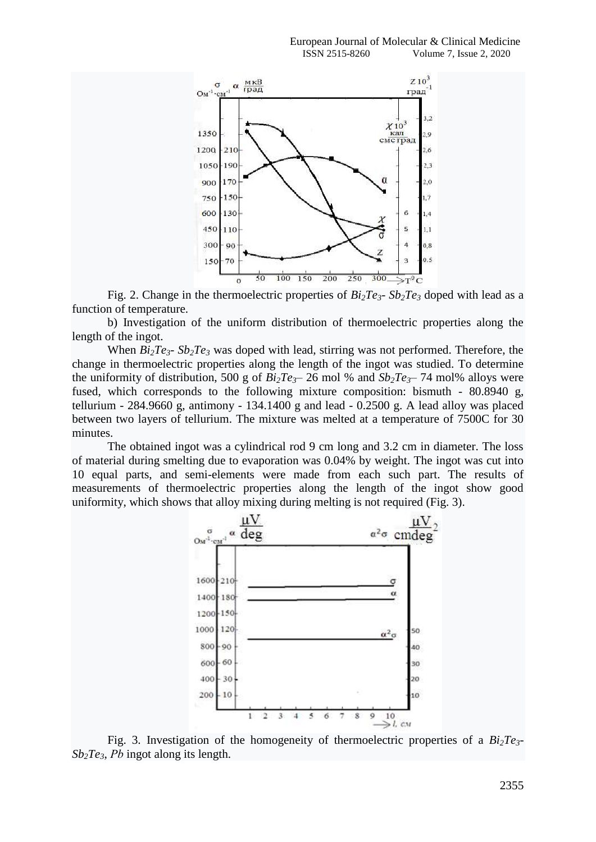

Fig. 2. Change in the thermoelectric properties of  $Bi<sub>2</sub>Te<sub>3</sub>$ -  $Sb<sub>2</sub>Te<sub>3</sub>$  doped with lead as a function of temperature.

b) Investigation of the uniform distribution of thermoelectric properties along the length of the ingot.

When  $Bi<sub>2</sub>Te<sub>3</sub>$  *Sb*<sub>2</sub> $Te<sub>3</sub>$  was doped with lead, stirring was not performed. Therefore, the change in thermoelectric properties along the length of the ingot was studied. To determine the uniformity of distribution, 500 g of  $Bi<sub>2</sub>Te<sub>3</sub>$ – 26 mol % and  $Sb<sub>2</sub>Te<sub>3</sub>$ – 74 mol% alloys were fused, which corresponds to the following mixture composition: bismuth - 80.8940 g, tellurium - 284.9660 g, antimony - 134.1400 g and lead - 0.2500 g. A lead alloy was placed between two layers of tellurium. The mixture was melted at a temperature of 7500C for 30 minutes.

The obtained ingot was a cylindrical rod 9 cm long and 3.2 cm in diameter. The loss of material during smelting due to evaporation was 0.04% by weight. The ingot was cut into 10 equal parts, and semi-elements were made from each such part. The results of measurements of thermoelectric properties along the length of the ingot show good uniformity, which shows that alloy mixing during melting is not required (Fig. 3).



Fig. 3. Investigation of the homogeneity of thermoelectric properties of a  $Bi\bar{z}$ *Te*<sup>3</sup>-*Sb2Te3*, *Рb* ingot along its length.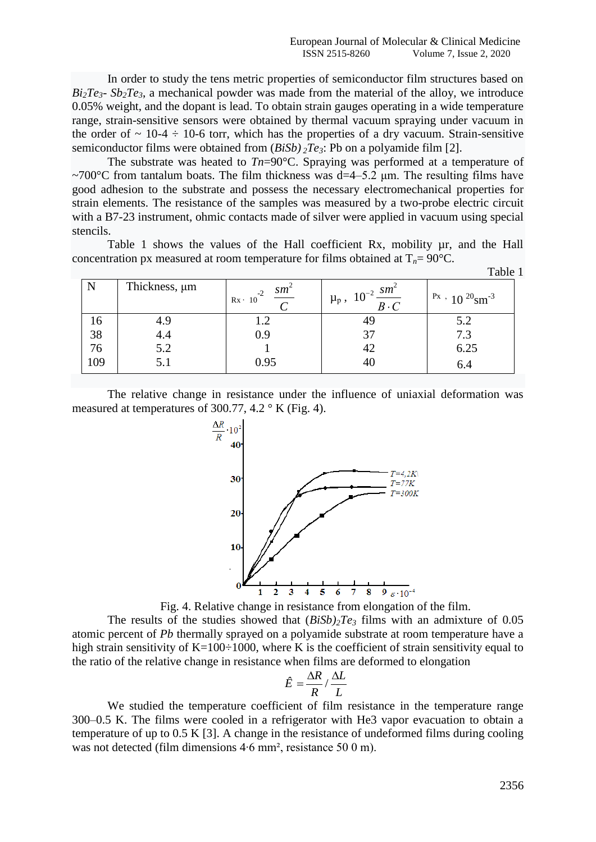In order to study the tens metric properties of semiconductor film structures based on  $Bi<sub>2</sub>Te<sub>3</sub>$ -  $Sb<sub>2</sub>Te<sub>3</sub>$ , a mechanical powder was made from the material of the alloy, we introduce 0.05% weight, and the dopant is lead. To obtain strain gauges operating in a wide temperature range, strain-sensitive sensors were obtained by thermal vacuum spraying under vacuum in the order of  $\sim 10-4 \div 10-6$  torr, which has the properties of a dry vacuum. Strain-sensitive semiconductor films were obtained from (*BiSb) <sup>2</sup>Te3*: Pb on a polyamide film [2].

The substrate was heated to *Tn*=90°C. Spraying was performed at a temperature of  $\sim$ 700°C from tantalum boats. The film thickness was d=4–5.2 µm. The resulting films have good adhesion to the substrate and possess the necessary electromechanical properties for strain elements. The resistance of the samples was measured by a two-probe electric circuit with a B7-23 instrument, ohmic contacts made of silver were applied in vacuum using special stencils.

Table 1 shows the values of the Hall coefficient Rx, mobility  $\mu$ r, and the Hall concentration px measured at room temperature for films obtained at  $T_n = 90^{\circ}C$ .

|     |               |                                                              |                                                | T QUIC 1                                         |
|-----|---------------|--------------------------------------------------------------|------------------------------------------------|--------------------------------------------------|
| N   | Thickness, µm | $sm^{\scriptscriptstyle\mathsf{B}}$<br>$-2$<br>$Rx \cdot 10$ | $10^{-2} \frac{sm^2}{B\cdot C}$<br>$\mu_{p}$ , | $\mathrm{P}x$ , 10 $\mathrm{P}0\mathrm{S}m^{-3}$ |
| 10  | 4.9           |                                                              | 45                                             | 5.2                                              |
| 38  | 4.4           | 0.9                                                          |                                                | 7.3                                              |
| 76  | 5.2           |                                                              | 42                                             | 6.25                                             |
| 109 | 5.1           | 0.95                                                         |                                                | 6.4                                              |

The relative change in resistance under the influence of uniaxial deformation was measured at temperatures of 300.77, 4.2  $\degree$  K (Fig. 4).



Fig. 4. Relative change in resistance from elongation of the film.

The results of the studies showed that  $(BiSb)$ <sub>2</sub> $Te_3$  films with an admixture of 0.05 atomic percent of *Pb* thermally sprayed on a polyamide substrate at room temperature have a high strain sensitivity of K=100÷1000, where K is the coefficient of strain sensitivity equal to the ratio of the relative change in resistance when films are deformed to elongation

$$
\hat{E} = \frac{\Delta R}{R} / \frac{\Delta L}{L}
$$

We studied the temperature coefficient of film resistance in the temperature range 300–0.5 K. The films were cooled in a refrigerator with He3 vapor evacuation to obtain a temperature of up to 0.5 K [3]. A change in the resistance of undeformed films during cooling was not detected (film dimensions 4∙6 mm², resistance 50 0 m).

Table 1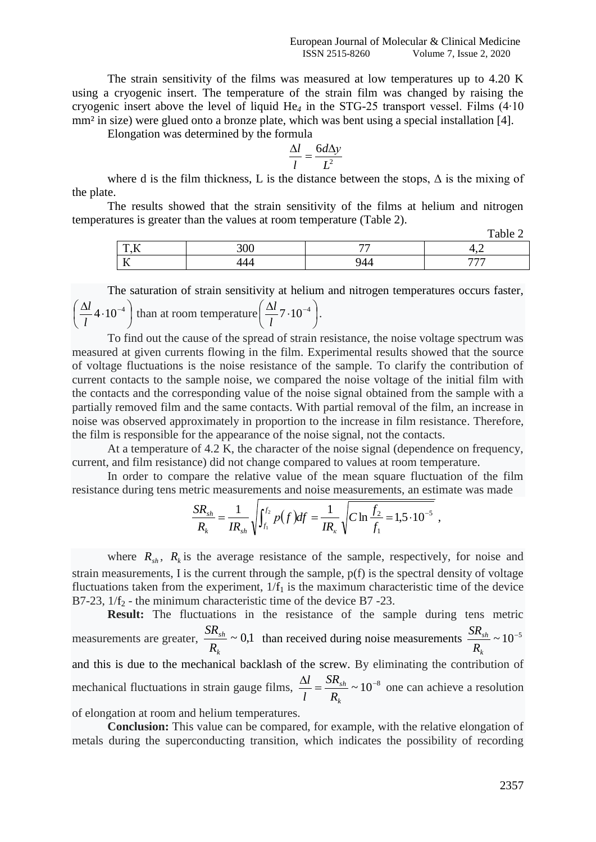The strain sensitivity of the films was measured at low temperatures up to 4.20 K using a cryogenic insert. The temperature of the strain film was changed by raising the cryogenic insert above the level of liquid He*<sup>4</sup>* in the STG-25 transport vessel. Films (4∙10 mm<sup>2</sup> in size) were glued onto a bronze plate, which was bent using a special installation [4].

Elongation was determined by the formula

$$
\frac{\Delta l}{l} = \frac{6d\Delta y}{L^2}
$$

where d is the film thickness, L is the distance between the stops,  $\Delta$  is the mixing of the plate.

The results showed that the strain sensitivity of the films at helium and nitrogen temperatures is greater than the values at room temperature (Table 2). Table 2

|                                          |                 |     | $1$ avit $2$ |
|------------------------------------------|-----------------|-----|--------------|
| $T^*$<br>$\overline{\phantom{a}}$        | $\Omega$<br>JUU | --  | - -          |
| $\mathbf{r}$<br>$\overline{\phantom{a}}$ |                 | . . | $- - -$      |

The saturation of strain sensitivity at helium and nitrogen temperatures occurs faster,  $\overline{\phantom{a}}$ J  $\left(\frac{\Delta l}{4}4\cdot10^{-4}\right)$  $\setminus$  $\int \frac{\Delta l}{4} 4 \cdot 10^{-4}$ *l*  $\left(\frac{l}{l} - 4 \cdot 10^{-4}\right)$  than at room temperature  $\left(\frac{\Delta l}{l} - 7 \cdot 10^{-4}\right)$ J  $\left(\frac{\Delta l}{l}7\cdot10^{-4}\right)$  $\setminus$  $\frac{\Delta l}{l}$ 7.10<sup>-4</sup> *l*  $\frac{l}{2}$ 7·10<sup>-4</sup>).

To find out the cause of the spread of strain resistance, the noise voltage spectrum was measured at given currents flowing in the film. Experimental results showed that the source of voltage fluctuations is the noise resistance of the sample. To clarify the contribution of current contacts to the sample noise, we compared the noise voltage of the initial film with the contacts and the corresponding value of the noise signal obtained from the sample with a partially removed film and the same contacts. With partial removal of the film, an increase in noise was observed approximately in proportion to the increase in film resistance. Therefore, the film is responsible for the appearance of the noise signal, not the contacts.

At a temperature of 4.2 K, the character of the noise signal (dependence on frequency, current, and film resistance) did not change compared to values at room temperature.

In order to compare the relative value of the mean square fluctuation of the film resistance during tens metric measurements and noise measurements, an estimate was made

$$
\frac{SR_{sh}}{R_k} = \frac{1}{IR_{sh}} \sqrt{\int_{f_1}^{f_2} p(f) df} = \frac{1}{IR_{\kappa}} \sqrt{C \ln \frac{f_2}{f_1}} = 1.5 \cdot 10^{-5} ,
$$

where  $R_{sh}$ ,  $R_k$  is the average resistance of the sample, respectively, for noise and strain measurements, I is the current through the sample, p(f) is the spectral density of voltage fluctuations taken from the experiment,  $1/f_1$  is the maximum characteristic time of the device B7-23,  $1/f_2$  - the minimum characteristic time of the device B7-23.

**Result:** The fluctuations in the resistance of the sample during tens metric measurements are greater,  $\frac{S_{rsh}}{R} \sim 0.1$ *k sh R SR* than received during noise measurements  $\frac{3R_{sh}}{R} \sim 10^{-5}$ *k R SR* and this is due to the mechanical backlash of the screw. By eliminating the contribution of mechanical fluctuations in strain gauge films,  $\frac{\Delta l}{l} = \frac{SR_{sh}}{R} \sim 10^{-8}$ *k sh R SR l*  $\frac{l}{s} = \frac{SR_{sh}}{R} \sim 10^{-8}$  one can achieve a resolution of elongation at room and helium temperatures.

**Conclusion:** This value can be compared, for example, with the relative elongation of metals during the superconducting transition, which indicates the possibility of recording